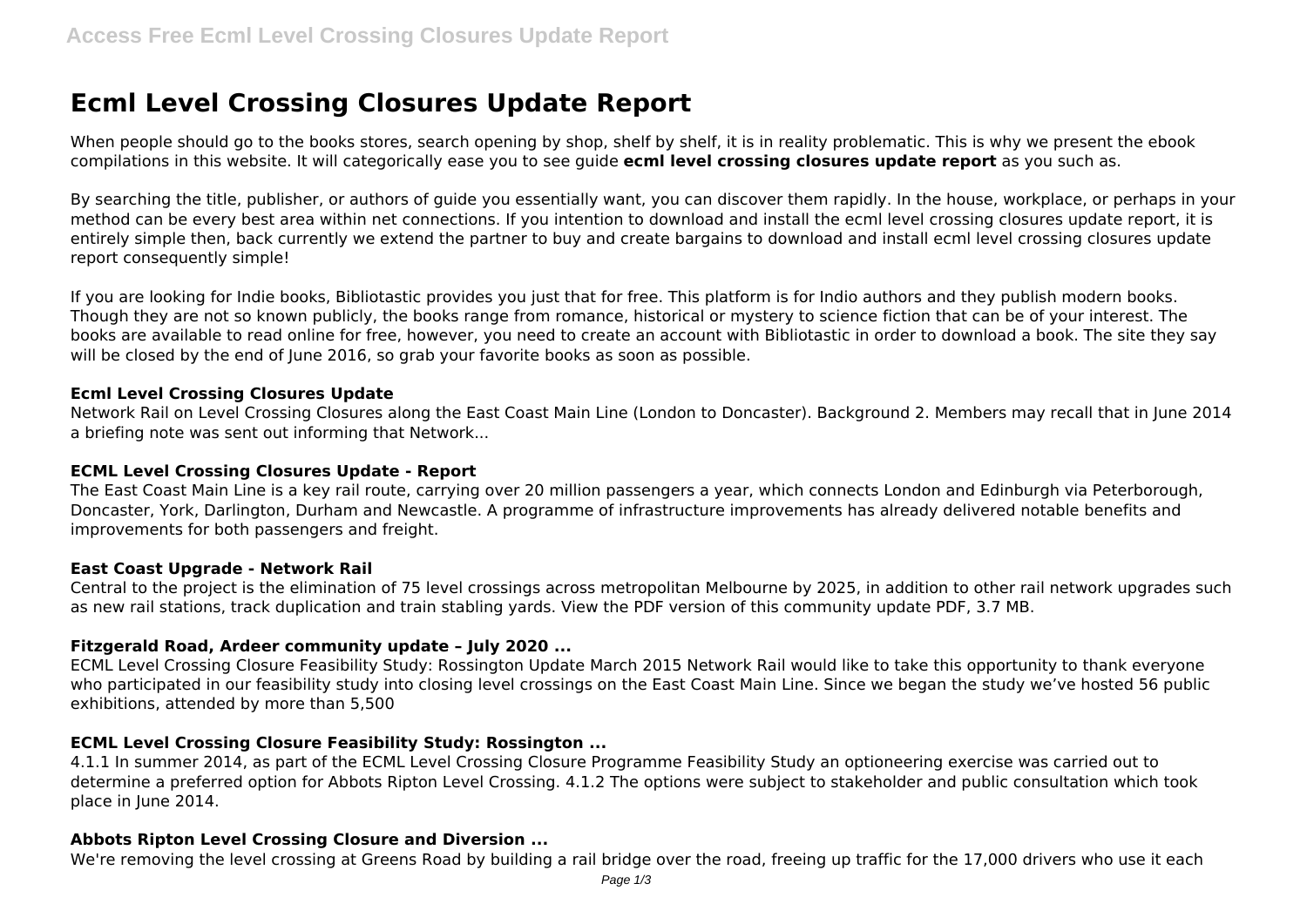# **Ecml Level Crossing Closures Update Report**

When people should go to the books stores, search opening by shop, shelf by shelf, it is in reality problematic. This is why we present the ebook compilations in this website. It will categorically ease you to see guide **ecml level crossing closures update report** as you such as.

By searching the title, publisher, or authors of guide you essentially want, you can discover them rapidly. In the house, workplace, or perhaps in your method can be every best area within net connections. If you intention to download and install the ecml level crossing closures update report, it is entirely simple then, back currently we extend the partner to buy and create bargains to download and install ecml level crossing closures update report consequently simple!

If you are looking for Indie books, Bibliotastic provides you just that for free. This platform is for Indio authors and they publish modern books. Though they are not so known publicly, the books range from romance, historical or mystery to science fiction that can be of your interest. The books are available to read online for free, however, you need to create an account with Bibliotastic in order to download a book. The site they say will be closed by the end of June 2016, so grab your favorite books as soon as possible.

# **Ecml Level Crossing Closures Update**

Network Rail on Level Crossing Closures along the East Coast Main Line (London to Doncaster). Background 2. Members may recall that in June 2014 a briefing note was sent out informing that Network...

# **ECML Level Crossing Closures Update - Report**

The East Coast Main Line is a key rail route, carrying over 20 million passengers a year, which connects London and Edinburgh via Peterborough, Doncaster, York, Darlington, Durham and Newcastle. A programme of infrastructure improvements has already delivered notable benefits and improvements for both passengers and freight.

#### **East Coast Upgrade - Network Rail**

Central to the project is the elimination of 75 level crossings across metropolitan Melbourne by 2025, in addition to other rail network upgrades such as new rail stations, track duplication and train stabling yards. View the PDF version of this community update PDF, 3.7 MB.

# **Fitzgerald Road, Ardeer community update – July 2020 ...**

ECML Level Crossing Closure Feasibility Study: Rossington Update March 2015 Network Rail would like to take this opportunity to thank everyone who participated in our feasibility study into closing level crossings on the East Coast Main Line. Since we began the study we've hosted 56 public exhibitions, attended by more than 5,500

# **ECML Level Crossing Closure Feasibility Study: Rossington ...**

4.1.1 In summer 2014, as part of the ECML Level Crossing Closure Programme Feasibility Study an optioneering exercise was carried out to determine a preferred option for Abbots Ripton Level Crossing. 4.1.2 The options were subject to stakeholder and public consultation which took place in June 2014.

# **Abbots Ripton Level Crossing Closure and Diversion ...**

We're removing the level crossing at Greens Road by building a rail bridge over the road, freeing up traffic for the 17,000 drivers who use it each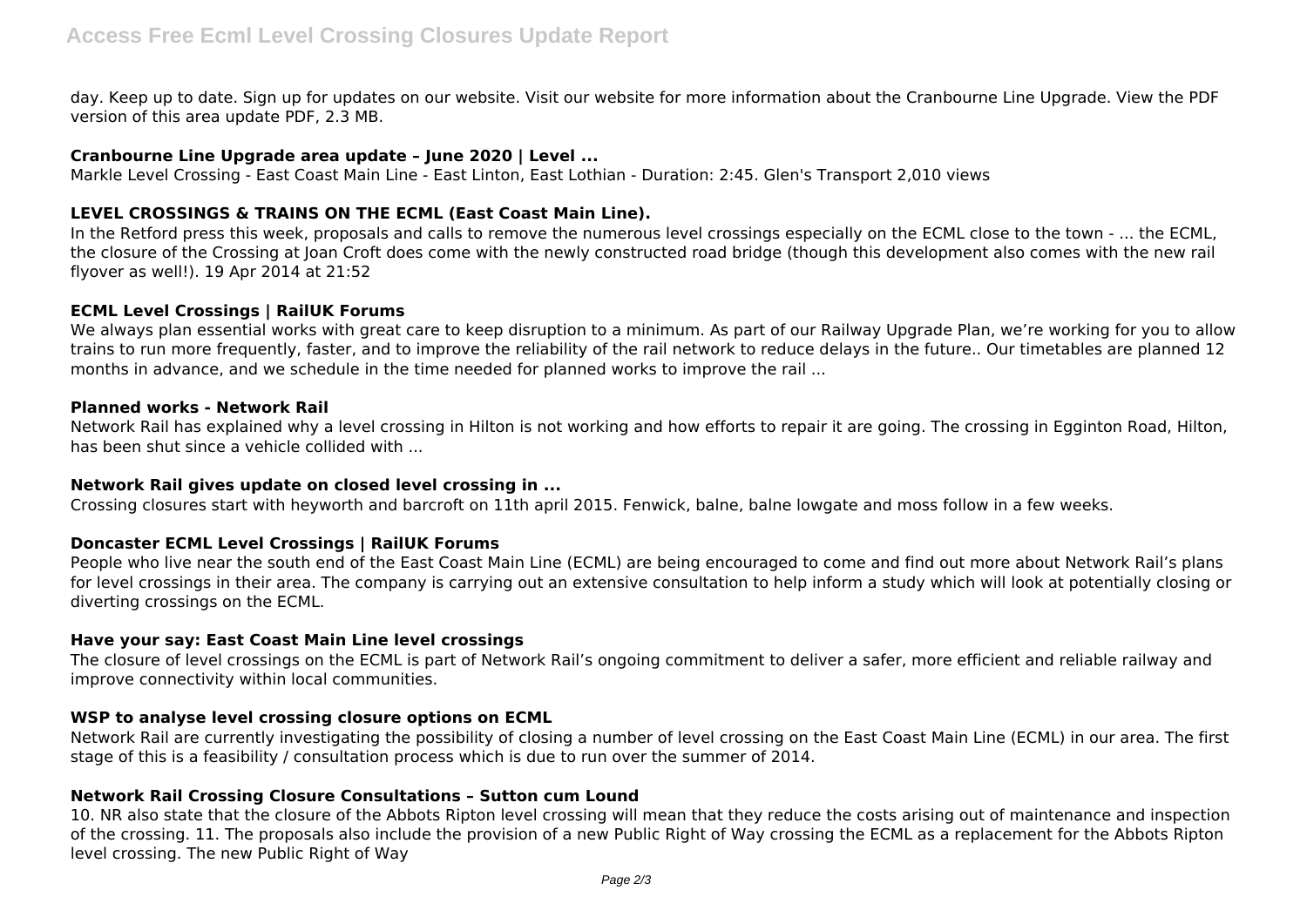day. Keep up to date. Sign up for updates on our website. Visit our website for more information about the Cranbourne Line Upgrade. View the PDF version of this area update PDF, 2.3 MB.

# **Cranbourne Line Upgrade area update – June 2020 | Level ...**

Markle Level Crossing - East Coast Main Line - East Linton, East Lothian - Duration: 2:45. Glen's Transport 2,010 views

# **LEVEL CROSSINGS & TRAINS ON THE ECML (East Coast Main Line).**

In the Retford press this week, proposals and calls to remove the numerous level crossings especially on the ECML close to the town - ... the ECML. the closure of the Crossing at Joan Croft does come with the newly constructed road bridge (though this development also comes with the new rail flyover as well!). 19 Apr 2014 at 21:52

# **ECML Level Crossings | RailUK Forums**

We always plan essential works with great care to keep disruption to a minimum. As part of our Railway Upgrade Plan, we're working for you to allow trains to run more frequently, faster, and to improve the reliability of the rail network to reduce delays in the future.. Our timetables are planned 12 months in advance, and we schedule in the time needed for planned works to improve the rail ...

#### **Planned works - Network Rail**

Network Rail has explained why a level crossing in Hilton is not working and how efforts to repair it are going. The crossing in Egginton Road, Hilton, has been shut since a vehicle collided with ...

# **Network Rail gives update on closed level crossing in ...**

Crossing closures start with heyworth and barcroft on 11th april 2015. Fenwick, balne, balne lowgate and moss follow in a few weeks.

# **Doncaster ECML Level Crossings | RailUK Forums**

People who live near the south end of the East Coast Main Line (ECML) are being encouraged to come and find out more about Network Rail's plans for level crossings in their area. The company is carrying out an extensive consultation to help inform a study which will look at potentially closing or diverting crossings on the ECML.

# **Have your say: East Coast Main Line level crossings**

The closure of level crossings on the ECML is part of Network Rail's ongoing commitment to deliver a safer, more efficient and reliable railway and improve connectivity within local communities.

# **WSP to analyse level crossing closure options on ECML**

Network Rail are currently investigating the possibility of closing a number of level crossing on the East Coast Main Line (ECML) in our area. The first stage of this is a feasibility / consultation process which is due to run over the summer of 2014.

# **Network Rail Crossing Closure Consultations – Sutton cum Lound**

10. NR also state that the closure of the Abbots Ripton level crossing will mean that they reduce the costs arising out of maintenance and inspection of the crossing. 11. The proposals also include the provision of a new Public Right of Way crossing the ECML as a replacement for the Abbots Ripton level crossing. The new Public Right of Way